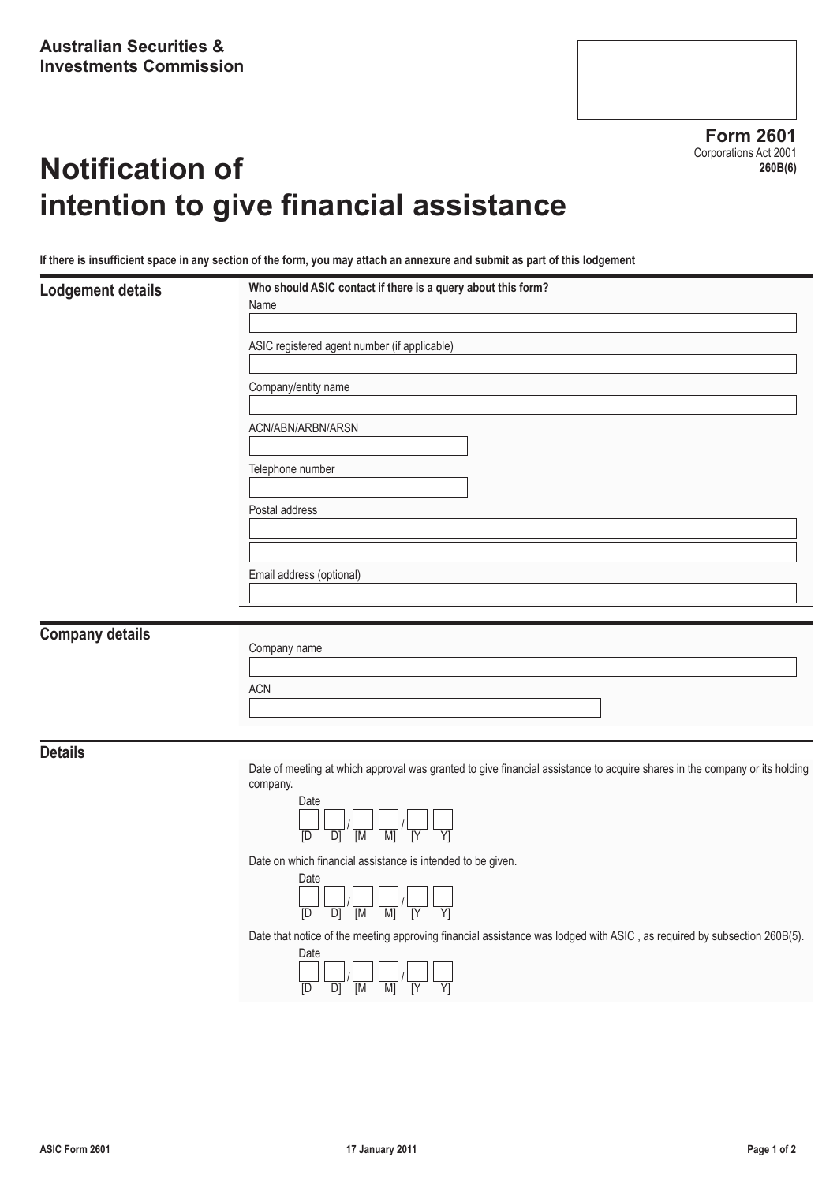**Form 2601** Corporations Act 2001 **260B(6)**

# **Notification of intention to give financial assistance**

**If there is insufficient space in any section of the form, you may attach an annexure and submit as part of this lodgement**

|  | <b>Lodgement details</b> |  |
|--|--------------------------|--|
|  |                          |  |

| Lodgement details | Who should ASIC contact if there is a query about this form?<br>Name |
|-------------------|----------------------------------------------------------------------|
|                   |                                                                      |
|                   | ASIC registered agent number (if applicable)                         |
|                   | Company/entity name                                                  |
|                   | ACN/ABN/ARBN/ARSN                                                    |
|                   |                                                                      |
|                   | Telephone number                                                     |
|                   | Postal address                                                       |
|                   |                                                                      |
|                   | Email address (optional)                                             |
|                   |                                                                      |

### **Company details**

| Company name |  |  |
|--------------|--|--|
|              |  |  |
| <b>ACN</b>   |  |  |
|              |  |  |

**Details**

Date of meeting at which approval was granted to give financial assistance to acquire shares in the company or its holding company.



Date on which financial assistance is intended to be given.



Date that notice of the meeting approving financial assistance was lodged with ASIC , as required by subsection 260B(5).

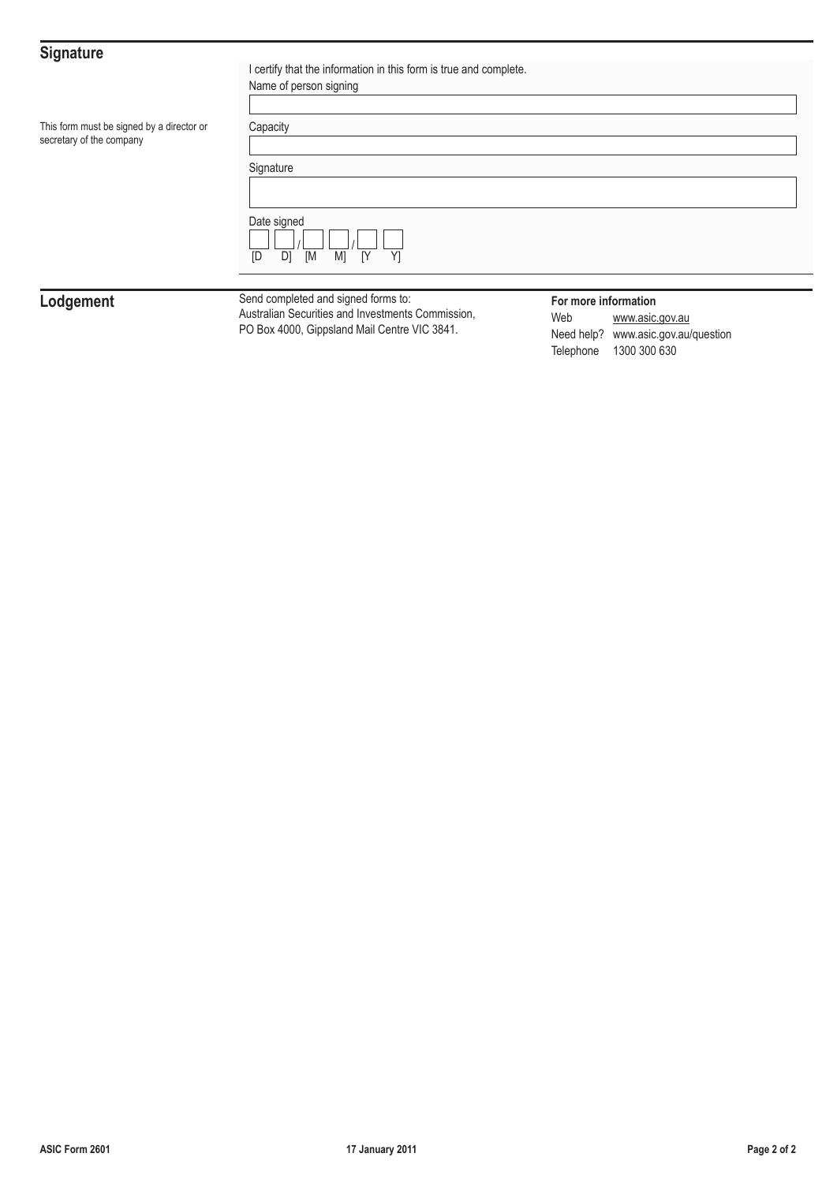## **Signature**

| ັ                                                                     | I certify that the information in this form is true and complete.<br>Name of person signing |
|-----------------------------------------------------------------------|---------------------------------------------------------------------------------------------|
| This form must be signed by a director or<br>secretary of the company | Capacity                                                                                    |
|                                                                       | Signature                                                                                   |
|                                                                       | Date signed<br>D<br>[M<br>M]<br>[Y]<br>Y]<br><b>ID</b>                                      |
|                                                                       |                                                                                             |

**Lodgement** Send completed and signed forms to:<br>Australian Securities and Investments Commission, PO Box 4000, Gippsland Mail Centre VIC 3841.

**For more information**<br>Web **www.asic.** www.asic.gov.au Need help? www.asic.gov.au/question Telephone 1300 300 630